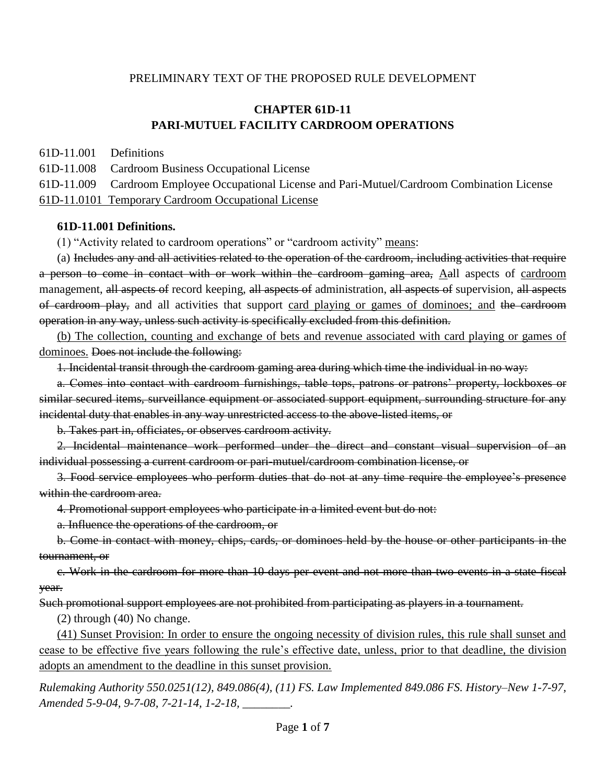### PRELIMINARY TEXT OF THE PROPOSED RULE DEVELOPMENT

# **CHAPTER 61D-11 PARI-MUTUEL FACILITY CARDROOM OPERATIONS**

61D-11.001 Definitions

61D-11.008 Cardroom Business Occupational License

61D-11.009 Cardroom Employee Occupational License and Pari-Mutuel/Cardroom Combination License

61D-11.0101 Temporary Cardroom Occupational License

#### **61D-11.001 Definitions.**

(1) "Activity related to cardroom operations" or "cardroom activity" means:

(a) Includes any and all activities related to the operation of the cardroom, including activities that require a person to come in contact with or work within the cardroom gaming area, Aall aspects of cardroom management, all aspects of record keeping, all aspects of administration, all aspects of supervision, all aspects of cardroom play, and all activities that support card playing or games of dominoes; and the cardroom operation in any way, unless such activity is specifically excluded from this definition.

(b) The collection, counting and exchange of bets and revenue associated with card playing or games of dominoes. Does not include the following:

1. Incidental transit through the cardroom gaming area during which time the individual in no way:

a. Comes into contact with cardroom furnishings, table tops, patrons or patrons' property, lockboxes or similar secured items, surveillance equipment or associated support equipment, surrounding structure for any incidental duty that enables in any way unrestricted access to the above-listed items, or

b. Takes part in, officiates, or observes cardroom activity.

2. Incidental maintenance work performed under the direct and constant visual supervision of an individual possessing a current cardroom or pari-mutuel/cardroom combination license, or

3. Food service employees who perform duties that do not at any time require the employee's presence within the cardroom area.

4. Promotional support employees who participate in a limited event but do not:

a. Influence the operations of the cardroom, or

b. Come in contact with money, chips, cards, or dominoes held by the house or other participants in the tournament, or

c. Work in the cardroom for more than 10 days per event and not more than two events in a state fiscal year.

Such promotional support employees are not prohibited from participating as players in a tournament.

(2) through (40) No change.

(41) Sunset Provision: In order to ensure the ongoing necessity of division rules, this rule shall sunset and cease to be effective five years following the rule's effective date, unless, prior to that deadline, the division adopts an amendment to the deadline in this sunset provision.

*Rulemaking Authority 550.0251(12), 849.086(4), (11) FS. Law Implemented 849.086 FS. History–New 1-7-97, Amended 5-9-04, 9-7-08, 7-21-14, 1-2-18, \_\_\_\_\_\_\_\_.*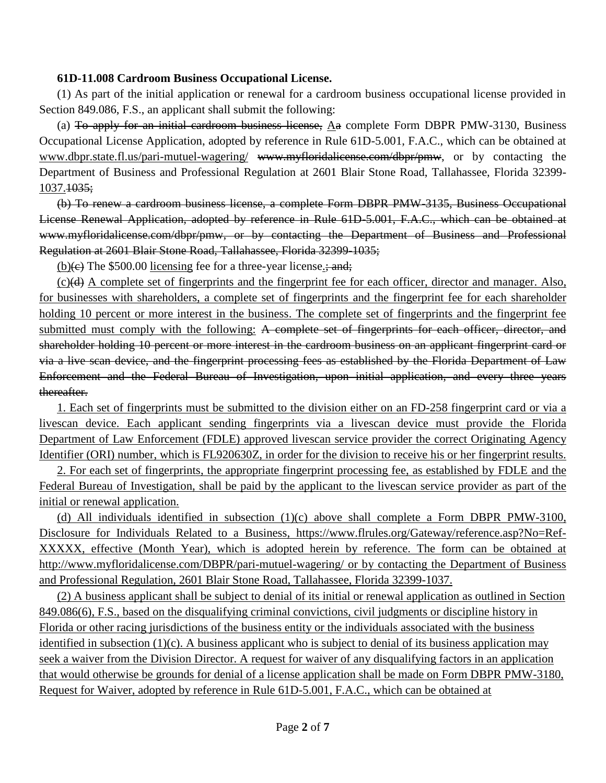### **61D-11.008 Cardroom Business Occupational License.**

(1) As part of the initial application or renewal for a cardroom business occupational license provided in Section 849.086, F.S., an applicant shall submit the following:

(a) To apply for an initial cardroom business license, Aa complete Form DBPR PMW-3130, Business Occupational License Application, adopted by reference in Rule 61D-5.001, F.A.C., which can be obtained at www.dbpr.state.fl.us/pari-mutuel-wagering/ [www.myfloridalicense.com/dbpr/pmw,](http://www.myfloridalicense.com/dbpr/pmw) or by contacting the Department of Business and Professional Regulation at 2601 Blair Stone Road, Tallahassee, Florida 32399- 1037.<del>1035;</del>

(b) To renew a cardroom business license, a complete Form DBPR PMW-3135, Business Occupational License Renewal Application, adopted by reference in Rule 61D-5.001, F.A.C., which can be obtained at [www.myfloridalicense.com/dbpr/pmw,](http://www.myfloridalicense.com/dbpr/pmw) or by contacting the Department of Business and Professional Regulation at 2601 Blair Stone Road, Tallahassee, Florida 32399-1035;

(b) $\left(\frac{e}{e}\right)$  The \$500.00 licensing fee for a three-year license.; and;

(c)(d) A complete set of fingerprints and the fingerprint fee for each officer, director and manager. Also, for businesses with shareholders, a complete set of fingerprints and the fingerprint fee for each shareholder holding 10 percent or more interest in the business. The complete set of fingerprints and the fingerprint fee submitted must comply with the following: A complete set of fingerprints for each officer, director, and shareholder holding 10 percent or more interest in the cardroom business on an applicant fingerprint card or via a live scan device, and the fingerprint processing fees as established by the Florida Department of Law Enforcement and the Federal Bureau of Investigation, upon initial application, and every three years thereafter.

1. Each set of fingerprints must be submitted to the division either on an FD-258 fingerprint card or via a livescan device. Each applicant sending fingerprints via a livescan device must provide the Florida Department of Law Enforcement (FDLE) approved livescan service provider the correct Originating Agency Identifier (ORI) number, which is FL920630Z, in order for the division to receive his or her fingerprint results.

2. For each set of fingerprints, the appropriate fingerprint processing fee, as established by FDLE and the Federal Bureau of Investigation, shall be paid by the applicant to the livescan service provider as part of the initial or renewal application.

(d) All individuals identified in subsection (1)(c) above shall complete a Form DBPR PMW-3100, Disclosure for Individuals Related to a Business, https://www.flrules.org/Gateway/reference.asp?No=Ref-XXXXX, effective (Month Year), which is adopted herein by reference. The form can be obtained at http://www.myfloridalicense.com/DBPR/pari-mutuel-wagering/ or by contacting the Department of Business and Professional Regulation, 2601 Blair Stone Road, Tallahassee, Florida 32399-1037.

(2) A business applicant shall be subject to denial of its initial or renewal application as outlined in Section 849.086(6), F.S., based on the disqualifying criminal convictions, civil judgments or discipline history in Florida or other racing jurisdictions of the business entity or the individuals associated with the business identified in subsection (1)(c). A business applicant who is subject to denial of its business application may seek a waiver from the Division Director. A request for waiver of any disqualifying factors in an application that would otherwise be grounds for denial of a license application shall be made on Form DBPR PMW-3180, Request for Waiver, adopted by reference in Rule 61D-5.001, F.A.C., which can be obtained at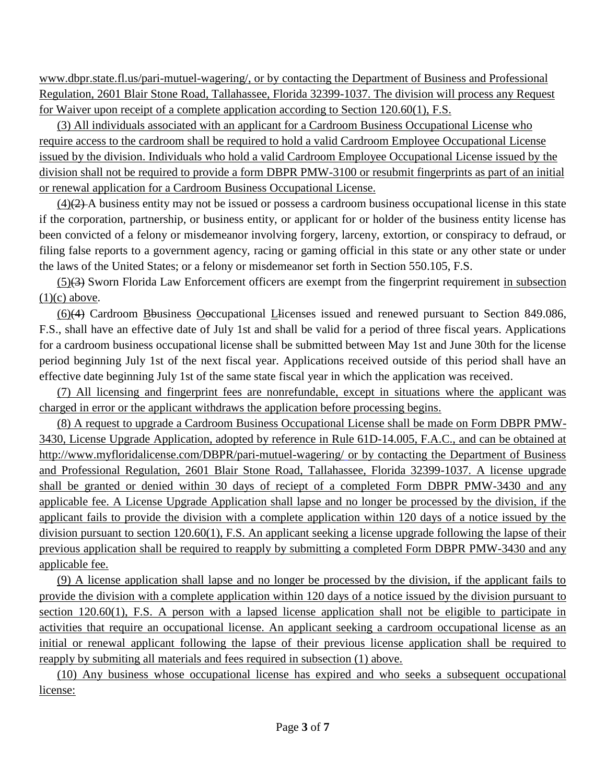www.dbpr.state.fl.us/pari-mutuel-wagering/, or by contacting the Department of Business and Professional Regulation, 2601 Blair Stone Road, Tallahassee, Florida 32399-1037. The division will process any Request for Waiver upon receipt of a complete application according to Section 120.60(1), F.S.

(3) All individuals associated with an applicant for a Cardroom Business Occupational License who require access to the cardroom shall be required to hold a valid Cardroom Employee Occupational License issued by the division. Individuals who hold a valid Cardroom Employee Occupational License issued by the division shall not be required to provide a form DBPR PMW-3100 or resubmit fingerprints as part of an initial or renewal application for a Cardroom Business Occupational License.

 $(4)$ (2) A business entity may not be issued or possess a cardroom business occupational license in this state if the corporation, partnership, or business entity, or applicant for or holder of the business entity license has been convicted of a felony or misdemeanor involving forgery, larceny, extortion, or conspiracy to defraud, or filing false reports to a government agency, racing or gaming official in this state or any other state or under the laws of the United States; or a felony or misdemeanor set forth in Section 550.105, F.S.

(5)(3) Sworn Florida Law Enforcement officers are exempt from the fingerprint requirement in subsection  $(1)(c)$  above.

(6)(4) Cardroom Bbusiness Ooccupational Llicenses issued and renewed pursuant to Section 849.086, F.S., shall have an effective date of July 1st and shall be valid for a period of three fiscal years. Applications for a cardroom business occupational license shall be submitted between May 1st and June 30th for the license period beginning July 1st of the next fiscal year. Applications received outside of this period shall have an effective date beginning July 1st of the same state fiscal year in which the application was received.

(7) All licensing and fingerprint fees are nonrefundable, except in situations where the applicant was charged in error or the applicant withdraws the application before processing begins.

(8) A request to upgrade a Cardroom Business Occupational License shall be made on Form DBPR PMW-3430, License Upgrade Application, adopted by reference in Rule 61D-14.005, F.A.C., and can be obtained at http://www.myfloridalicense.com/DBPR/pari-mutuel-wagering/ or by contacting the Department of Business and Professional Regulation, 2601 Blair Stone Road, Tallahassee, Florida 32399-1037. A license upgrade shall be granted or denied within 30 days of reciept of a completed Form DBPR PMW-3430 and any applicable fee. A License Upgrade Application shall lapse and no longer be processed by the division, if the applicant fails to provide the division with a complete application within 120 days of a notice issued by the division pursuant to section 120.60(1), F.S. An applicant seeking a license upgrade following the lapse of their previous application shall be required to reapply by submitting a completed Form DBPR PMW-3430 and any applicable fee.

(9) A license application shall lapse and no longer be processed by the division, if the applicant fails to provide the division with a complete application within 120 days of a notice issued by the division pursuant to section 120.60(1), F.S. A person with a lapsed license application shall not be eligible to participate in activities that require an occupational license. An applicant seeking a cardroom occupational license as an initial or renewal applicant following the lapse of their previous license application shall be required to reapply by submiting all materials and fees required in subsection (1) above.

(10) Any business whose occupational license has expired and who seeks a subsequent occupational license: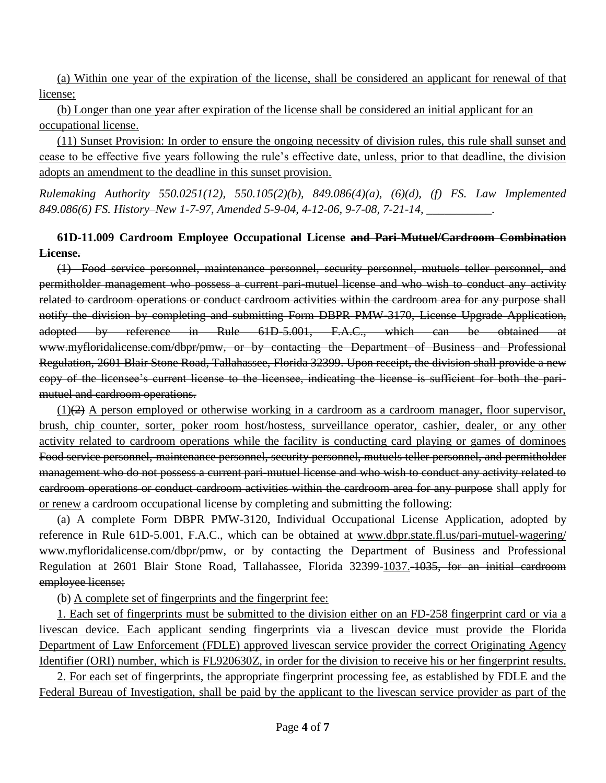(a) Within one year of the expiration of the license, shall be considered an applicant for renewal of that license;

(b) Longer than one year after expiration of the license shall be considered an initial applicant for an occupational license.

(11) Sunset Provision: In order to ensure the ongoing necessity of division rules, this rule shall sunset and cease to be effective five years following the rule's effective date, unless, prior to that deadline, the division adopts an amendment to the deadline in this sunset provision.

*Rulemaking Authority 550.0251(12), 550.105(2)(b), 849.086(4)(a), (6)(d), (f) FS. Law Implemented 849.086(6) FS. History–New 1-7-97, Amended 5-9-04, 4-12-06, 9-7-08, 7-21-14, \_\_\_\_\_\_\_\_\_\_\_.*

# **61D-11.009 Cardroom Employee Occupational License and Pari-Mutuel/Cardroom Combination License.**

(1) Food service personnel, maintenance personnel, security personnel, mutuels teller personnel, and permitholder management who possess a current pari-mutuel license and who wish to conduct any activity related to cardroom operations or conduct cardroom activities within the cardroom area for any purpose shall notify the division by completing and submitting Form DBPR PMW-3170, License Upgrade Application, adopted by reference in Rule 61D-5.001, F.A.C., which can be obtained at www.myfloridalicense.com/dbpr/pmw, or by contacting the Department of Business and Professional Regulation, 2601 Blair Stone Road, Tallahassee, Florida 32399. Upon receipt, the division shall provide a new copy of the licensee's current license to the licensee, indicating the license is sufficient for both the parimutuel and cardroom operations.

 $(1)$ (2) A person employed or otherwise working in a cardroom as a cardroom manager, floor supervisor, brush, chip counter, sorter, poker room host/hostess, surveillance operator, cashier, dealer, or any other activity related to cardroom operations while the facility is conducting card playing or games of dominoes Food service personnel, maintenance personnel, security personnel, mutuels teller personnel, and permitholder management who do not possess a current pari-mutuel license and who wish to conduct any activity related to cardroom operations or conduct cardroom activities within the cardroom area for any purpose shall apply for or renew a cardroom occupational license by completing and submitting the following:

(a) A complete Form DBPR PMW-3120, Individual Occupational License Application, adopted by reference in Rule 61D-5.001, F.A.C., which can be obtained at www.dbpr.state.fl.us/pari-mutuel-wagering/ [www.myfloridalicense.com/dbpr/pmw,](http://www.myfloridalicense.com/dbpr/pmw) or by contacting the Department of Business and Professional Regulation at 2601 Blair Stone Road, Tallahassee, Florida 32399-1037.-1035, for an initial cardroom employee license;

(b) A complete set of fingerprints and the fingerprint fee:

1. Each set of fingerprints must be submitted to the division either on an FD-258 fingerprint card or via a livescan device. Each applicant sending fingerprints via a livescan device must provide the Florida Department of Law Enforcement (FDLE) approved livescan service provider the correct Originating Agency Identifier (ORI) number, which is FL920630Z, in order for the division to receive his or her fingerprint results.

2. For each set of fingerprints, the appropriate fingerprint processing fee, as established by FDLE and the Federal Bureau of Investigation, shall be paid by the applicant to the livescan service provider as part of the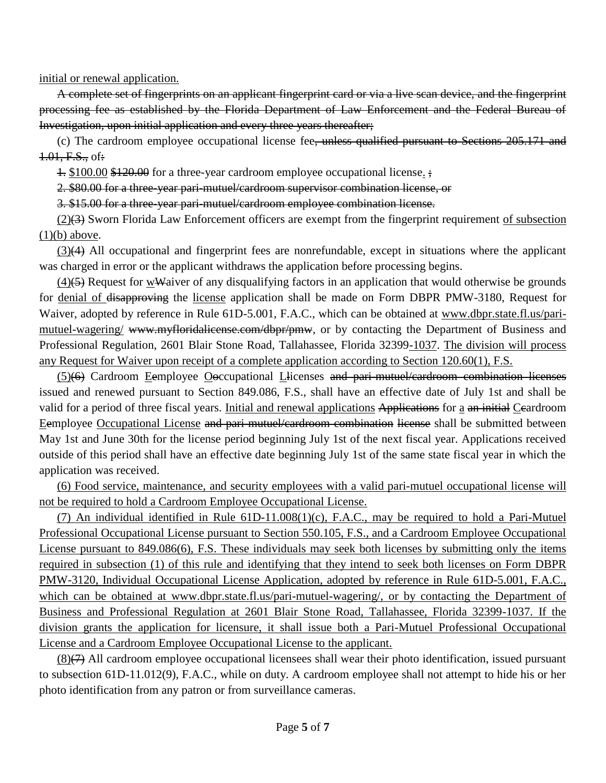initial or renewal application.

A complete set of fingerprints on an applicant fingerprint card or via a live scan device, and the fingerprint processing fee as established by the Florida Department of Law Enforcement and the Federal Bureau of Investigation, upon initial application and every three years thereafter;

(c) The cardroom employee occupational license fee, unless qualified pursuant to Sections 205.171 and 1.01, F.S., of:

1. \$100.00 \$120.00 for a three-year cardroom employee occupational license. ;

2. \$80.00 for a three-year pari-mutuel/cardroom supervisor combination license, or

3. \$15.00 for a three-year pari-mutuel/cardroom employee combination license.

(2)(3) Sworn Florida Law Enforcement officers are exempt from the fingerprint requirement of subsection  $(1)(b)$  above.

(3)(4) All occupational and fingerprint fees are nonrefundable, except in situations where the applicant was charged in error or the applicant withdraws the application before processing begins.

 $(4)$ (5) Request for wWaiver of any disqualifying factors in an application that would otherwise be grounds for denial of disapproving the license application shall be made on Form DBPR PMW-3180, Request for Waiver, adopted by reference in Rule 61D-5.001, F.A.C., which can be obtained at www.dbpr.state.fl.us/parimutuel-wagering/ www.myfloridalicense.com/dbpr/pmw, or by contacting the Department of Business and Professional Regulation, 2601 Blair Stone Road, Tallahassee, Florida 32399-1037. The division will process any Request for Waiver upon receipt of a complete application according to Section 120.60(1), F.S.

(5)(6) Cardroom Eemployee Ooccupational Llicenses and pari-mutuel/cardroom combination licenses issued and renewed pursuant to Section 849.086, F.S., shall have an effective date of July 1st and shall be valid for a period of three fiscal years. Initial and renewal applications Applications for a an initial Ceardroom Eemployee Occupational License and pari-mutuel/cardroom combination license shall be submitted between May 1st and June 30th for the license period beginning July 1st of the next fiscal year. Applications received outside of this period shall have an effective date beginning July 1st of the same state fiscal year in which the application was received.

(6) Food service, maintenance, and security employees with a valid pari-mutuel occupational license will not be required to hold a Cardroom Employee Occupational License.

(7) An individual identified in Rule  $6\underline{1D-11.008(1)}(c)$ , F.A.C., may be required to hold a Pari-Mutuel Professional Occupational License pursuant to Section 550.105, F.S., and a Cardroom Employee Occupational License pursuant to 849.086(6), F.S. These individuals may seek both licenses by submitting only the items required in subsection (1) of this rule and identifying that they intend to seek both licenses on Form DBPR PMW-3120, Individual Occupational License Application, adopted by reference in Rule 61D-5.001, F.A.C., which can be obtained at www.dbpr.state.fl.us/pari-mutuel-wagering/, or by contacting the Department of Business and Professional Regulation at 2601 Blair Stone Road, Tallahassee, Florida 32399-1037. If the division grants the application for licensure, it shall issue both a Pari-Mutuel Professional Occupational License and a Cardroom Employee Occupational License to the applicant.

(8)(7) All cardroom employee occupational licensees shall wear their photo identification, issued pursuant to subsection 61D-11.012(9), F.A.C., while on duty. A cardroom employee shall not attempt to hide his or her photo identification from any patron or from surveillance cameras.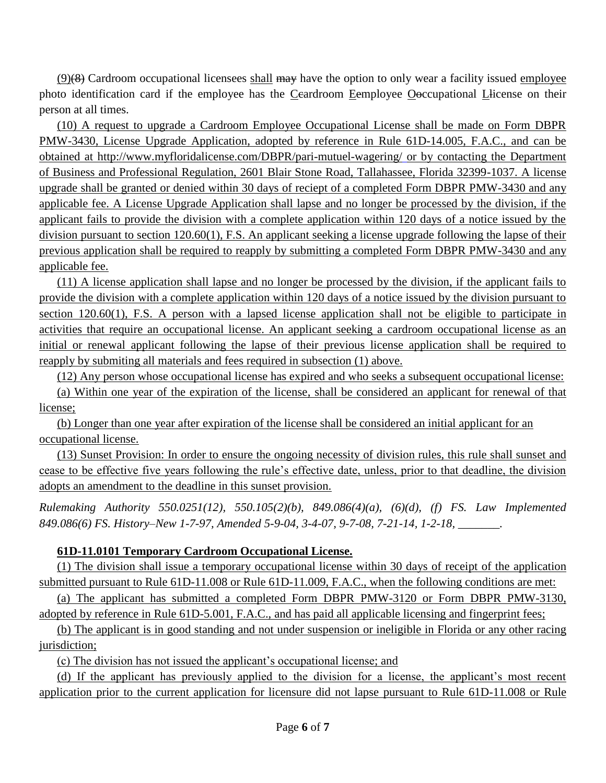$(9)$ (8) Cardroom occupational licensees shall may have the option to only wear a facility issued employee photo identification card if the employee has the Ceardroom Eemployee Ooccupational Llicense on their person at all times.

(10) A request to upgrade a Cardroom Employee Occupational License shall be made on Form DBPR PMW-3430, License Upgrade Application, adopted by reference in Rule 61D-14.005, F.A.C., and can be obtained at http://www.myfloridalicense.com/DBPR/pari-mutuel-wagering/ or by contacting the Department of Business and Professional Regulation, 2601 Blair Stone Road, Tallahassee, Florida 32399-1037. A license upgrade shall be granted or denied within 30 days of reciept of a completed Form DBPR PMW-3430 and any applicable fee. A License Upgrade Application shall lapse and no longer be processed by the division, if the applicant fails to provide the division with a complete application within 120 days of a notice issued by the division pursuant to section 120.60(1), F.S. An applicant seeking a license upgrade following the lapse of their previous application shall be required to reapply by submitting a completed Form DBPR PMW-3430 and any applicable fee.

(11) A license application shall lapse and no longer be processed by the division, if the applicant fails to provide the division with a complete application within 120 days of a notice issued by the division pursuant to section 120.60(1), F.S. A person with a lapsed license application shall not be eligible to participate in activities that require an occupational license. An applicant seeking a cardroom occupational license as an initial or renewal applicant following the lapse of their previous license application shall be required to reapply by submiting all materials and fees required in subsection (1) above.

(12) Any person whose occupational license has expired and who seeks a subsequent occupational license:

(a) Within one year of the expiration of the license, shall be considered an applicant for renewal of that license;

(b) Longer than one year after expiration of the license shall be considered an initial applicant for an occupational license.

(13) Sunset Provision: In order to ensure the ongoing necessity of division rules, this rule shall sunset and cease to be effective five years following the rule's effective date, unless, prior to that deadline, the division adopts an amendment to the deadline in this sunset provision.

*Rulemaking Authority 550.0251(12), 550.105(2)(b), 849.086(4)(a), (6)(d), (f) FS. Law Implemented 849.086(6) FS. History–New 1-7-97, Amended 5-9-04, 3-4-07, 9-7-08, 7-21-14, 1-2-18, \_\_\_\_\_\_\_.*

### **61D-11.0101 Temporary Cardroom Occupational License.**

(1) The division shall issue a temporary occupational license within 30 days of receipt of the application submitted pursuant to Rule 61D-11.008 or Rule 61D-11.009, F.A.C., when the following conditions are met:

(a) The applicant has submitted a completed Form DBPR PMW-3120 or Form DBPR PMW-3130, adopted by reference in Rule 61D-5.001, F.A.C., and has paid all applicable licensing and fingerprint fees;

(b) The applicant is in good standing and not under suspension or ineligible in Florida or any other racing jurisdiction;

(c) The division has not issued the applicant's occupational license; and

(d) If the applicant has previously applied to the division for a license, the applicant's most recent application prior to the current application for licensure did not lapse pursuant to Rule 61D-11.008 or Rule